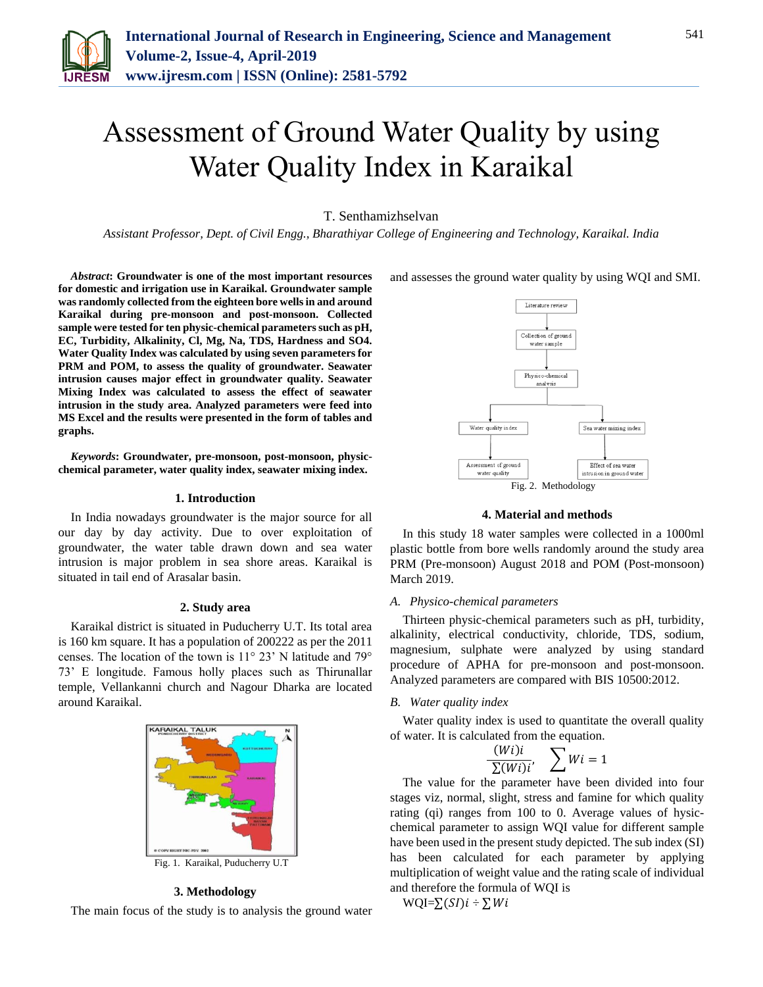

# Assessment of Ground Water Quality by using Water Quality Index in Karaikal

# T. Senthamizhselvan

*Assistant Professor, Dept. of Civil Engg., Bharathiyar College of Engineering and Technology, Karaikal. India*

*Abstract***: Groundwater is one of the most important resources for domestic and irrigation use in Karaikal. Groundwater sample was randomly collected from the eighteen bore wells in and around Karaikal during pre-monsoon and post-monsoon. Collected sample were tested for ten physic-chemical parameters such as pH, EC, Turbidity, Alkalinity, Cl, Mg, Na, TDS, Hardness and SO4. Water Quality Index was calculated by using seven parameters for PRM and POM, to assess the quality of groundwater. Seawater intrusion causes major effect in groundwater quality. Seawater Mixing Index was calculated to assess the effect of seawater intrusion in the study area. Analyzed parameters were feed into MS Excel and the results were presented in the form of tables and graphs.**

*Keywords***: Groundwater, pre-monsoon, post-monsoon, physicchemical parameter, water quality index, seawater mixing index.**

## **1. Introduction**

In India nowadays groundwater is the major source for all our day by day activity. Due to over exploitation of groundwater, the water table drawn down and sea water intrusion is major problem in sea shore areas. Karaikal is situated in tail end of Arasalar basin.

#### **2. Study area**

Karaikal district is situated in Puducherry U.T. Its total area is 160 km square. It has a population of 200222 as per the 2011 censes. The location of the town is 11° 23' N latitude and 79° 73' E longitude. Famous holly places such as Thirunallar temple, Vellankanni church and Nagour Dharka are located around Karaikal.



#### **3. Methodology**

The main focus of the study is to analysis the ground water

and assesses the ground water quality by using WQI and SMI.



## **4. Material and methods**

In this study 18 water samples were collected in a 1000ml plastic bottle from bore wells randomly around the study area PRM (Pre-monsoon) August 2018 and POM (Post-monsoon) March 2019.

## *A. Physico-chemical parameters*

Thirteen physic-chemical parameters such as pH, turbidity, alkalinity, electrical conductivity, chloride, TDS, sodium, magnesium, sulphate were analyzed by using standard procedure of APHA for pre-monsoon and post-monsoon. Analyzed parameters are compared with BIS 10500:2012.

#### *B. Water quality index*

Water quality index is used to quantitate the overall quality of water. It is calculated from the equation.

$$
\frac{(Wi)i}{\sum (Wi)i'}, \quad \sum Wi = 1
$$

The value for the parameter have been divided into four stages viz, normal, slight, stress and famine for which quality rating (qi) ranges from 100 to 0. Average values of hysicchemical parameter to assign WQI value for different sample have been used in the present study depicted. The sub index (SI) has been calculated for each parameter by applying multiplication of weight value and the rating scale of individual and therefore the formula of WQI is

WQI= $\sum(SI)i \div \sum Wi$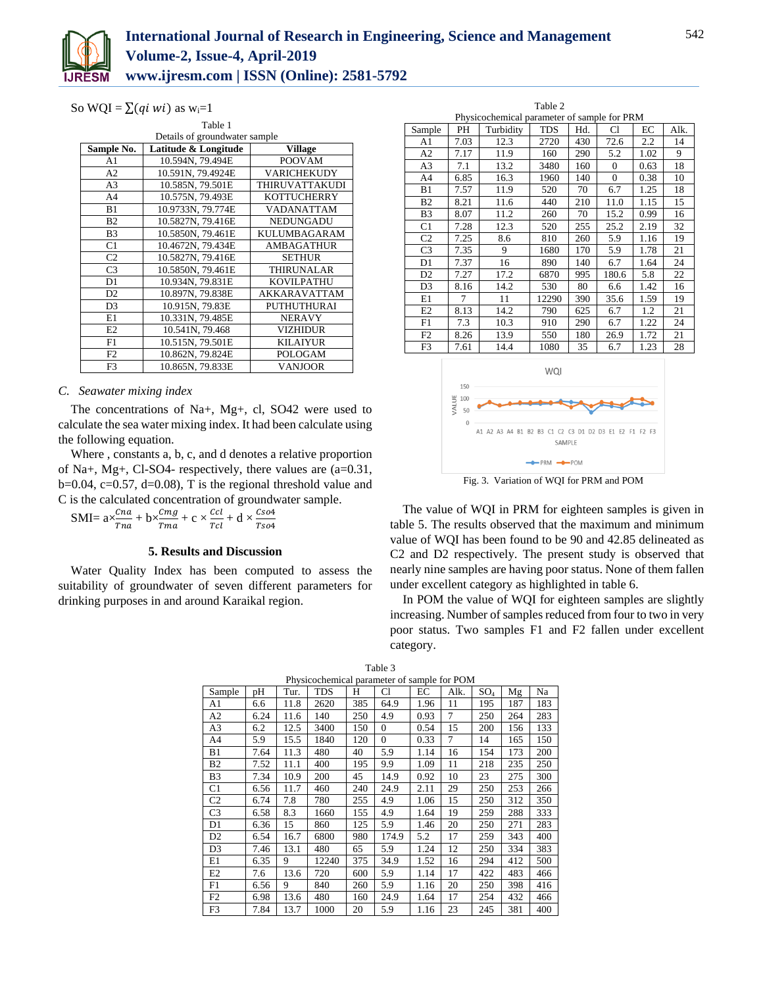

So WQI =  $\sum$  (*qi wi*) as w<sub>i</sub>=1

|                | Table 1                       |                    |  |  |  |  |  |
|----------------|-------------------------------|--------------------|--|--|--|--|--|
|                | Details of groundwater sample |                    |  |  |  |  |  |
| Sample No.     | Latitude & Longitude          | <b>Village</b>     |  |  |  |  |  |
| A1             | 10.594N, 79.494E              | <b>POOVAM</b>      |  |  |  |  |  |
| A2             | 10.591N, 79.4924E             | <b>VARICHEKUDY</b> |  |  |  |  |  |
| A <sub>3</sub> | 10.585N, 79.501E              | THIRUVATTAKUDI     |  |  |  |  |  |
| A <sub>4</sub> | 10.575N, 79.493E              | <b>KOTTUCHERRY</b> |  |  |  |  |  |
| B1             | 10.9733N, 79.774E             | VADANATTAM         |  |  |  |  |  |
| B <sub>2</sub> | 10.5827N, 79.416E             | <b>NEDUNGADU</b>   |  |  |  |  |  |
| B <sub>3</sub> | 10.5850N, 79.461E             | KULUMBAGARAM       |  |  |  |  |  |
| C1             | 10.4672N, 79.434E             | <b>AMBAGATHUR</b>  |  |  |  |  |  |
| C <sub>2</sub> | 10.5827N, 79.416E             | <b>SETHUR</b>      |  |  |  |  |  |
| C <sub>3</sub> | 10.5850N, 79.461E             | <b>THIRUNALAR</b>  |  |  |  |  |  |
| D1             | 10.934N, 79.831E              | KOVILPATHU         |  |  |  |  |  |
| D <sub>2</sub> | 10.897N, 79.838E              | AKKARAVATTAM       |  |  |  |  |  |
| D <sub>3</sub> | 10.915N, 79.83E               | PUTHUTHURAI        |  |  |  |  |  |
| E1             | 10.331N, 79.485E              | <b>NERAVY</b>      |  |  |  |  |  |
| E2             | 10.541N, 79.468               | <b>VIZHIDUR</b>    |  |  |  |  |  |
| F1             | 10.515N, 79.501E              | <b>KILAIYUR</b>    |  |  |  |  |  |
| F <sub>2</sub> | 10.862N, 79.824E              | POLOGAM            |  |  |  |  |  |
| F <sub>3</sub> | 10.865N, 79.833E              | <b>VANJOOR</b>     |  |  |  |  |  |

# *C. Seawater mixing index*

The concentrations of Na+, Mg+, cl, SO42 were used to calculate the sea water mixing index. It had been calculate using the following equation.

Where , constants a, b, c, and d denotes a relative proportion of Na+, Mg+, Cl-SO4- respectively, there values are  $(a=0.31,$  $b=0.04$ ,  $c=0.57$ ,  $d=0.08$ ), T is the regional threshold value and C is the calculated concentration of groundwater sample.

SMI=  $ax\frac{cna}{Tna} + bx\frac{cmg}{Tma} + c \times \frac{ccl}{Tcl}$  $\frac{ccl}{Tcl}$  + d  $\times \frac{Cso4}{Tso4}$ 

## **5. Results and Discussion**

Water Quality Index has been computed to assess the suitability of groundwater of seven different parameters for drinking purposes in and around Karaikal region.

| Table 2        |                                             |           |            |     |                |      |      |  |  |
|----------------|---------------------------------------------|-----------|------------|-----|----------------|------|------|--|--|
|                | Physicochemical parameter of sample for PRM |           |            |     |                |      |      |  |  |
| Sample         | PH                                          | Turbidity | <b>TDS</b> | Hd. | Cl             | ЕC   | Alk. |  |  |
| A1             | 7.03                                        | 12.3      | 2720       | 430 | 72.6           | 2.2  | 14   |  |  |
| A2             | 7.17                                        | 11.9      | 160        | 290 | 5.2            | 1.02 | 9    |  |  |
| A3             | 7.1                                         | 13.2      | 3480       | 160 | $\overline{0}$ | 0.63 | 18   |  |  |
| A4             | 6.85                                        | 16.3      | 1960       | 140 | $\Omega$       | 0.38 | 10   |  |  |
| B1             | 7.57                                        | 11.9      | 520        | 70  | 6.7            | 1.25 | 18   |  |  |
| B <sub>2</sub> | 8.21                                        | 11.6      | 440        | 210 | 11.0           | 1.15 | 15   |  |  |
| B <sub>3</sub> | 8.07                                        | 11.2      | 260        | 70  | 15.2           | 0.99 | 16   |  |  |
| C <sub>1</sub> | 7.28                                        | 12.3      | 520        | 255 | 25.2           | 2.19 | 32   |  |  |
| C <sub>2</sub> | 7.25                                        | 8.6       | 810        | 260 | 5.9            | 1.16 | 19   |  |  |
| C <sub>3</sub> | 7.35                                        | 9         | 1680       | 170 | 5.9            | 1.78 | 21   |  |  |
| D1             | 7.37                                        | 16        | 890        | 140 | 6.7            | 1.64 | 24   |  |  |
| D <sub>2</sub> | 7.27                                        | 17.2      | 6870       | 995 | 180.6          | 5.8  | 22   |  |  |
| D <sub>3</sub> | 8.16                                        | 14.2      | 530        | 80  | 6.6            | 1.42 | 16   |  |  |
| E1             | 7                                           | 11        | 12290      | 390 | 35.6           | 1.59 | 19   |  |  |
| E2             | 8.13                                        | 14.2      | 790        | 625 | 6.7            | 1.2  | 21   |  |  |
| F1             | 7.3                                         | 10.3      | 910        | 290 | 6.7            | 1.22 | 24   |  |  |
| F <sub>2</sub> | 8.26                                        | 13.9      | 550        | 180 | 26.9           | 1.72 | 21   |  |  |
| F3             | 7.61                                        | 14.4      | 1080       | 35  | 6.7            | 1.23 | 28   |  |  |



Fig. 3. Variation of WQI for PRM and POM

The value of WQI in PRM for eighteen samples is given in table 5. The results observed that the maximum and minimum value of WQI has been found to be 90 and 42.85 delineated as C2 and D2 respectively. The present study is observed that nearly nine samples are having poor status. None of them fallen under excellent category as highlighted in table 6.

In POM the value of WQI for eighteen samples are slightly increasing. Number of samples reduced from four to two in very poor status. Two samples F1 and F2 fallen under excellent category.

|                | Physicochemical parameter of sample for POM |      |            |     |          |      |      |                 |     |     |
|----------------|---------------------------------------------|------|------------|-----|----------|------|------|-----------------|-----|-----|
| Sample         | pН                                          | Tur. | <b>TDS</b> | Н   | Cl       | EС   | Alk. | SO <sub>4</sub> | Mg  | Na  |
| A1             | 6.6                                         | 11.8 | 2620       | 385 | 64.9     | 1.96 | 11   | 195             | 187 | 183 |
| A2             | 6.24                                        | 11.6 | 140        | 250 | 4.9      | 0.93 | 7    | 250             | 264 | 283 |
| A3             | 6.2                                         | 12.5 | 3400       | 150 | $\Omega$ | 0.54 | 15   | 200             | 156 | 133 |
| A <sub>4</sub> | 5.9                                         | 15.5 | 1840       | 120 | $\Omega$ | 0.33 | 7    | 14              | 165 | 150 |
| B1             | 7.64                                        | 11.3 | 480        | 40  | 5.9      | 1.14 | 16   | 154             | 173 | 200 |
| <b>B2</b>      | 7.52                                        | 11.1 | 400        | 195 | 9.9      | 1.09 | 11   | 218             | 235 | 250 |
| B <sub>3</sub> | 7.34                                        | 10.9 | 200        | 45  | 14.9     | 0.92 | 10   | 23              | 275 | 300 |
| C1             | 6.56                                        | 11.7 | 460        | 240 | 24.9     | 2.11 | 29   | 250             | 253 | 266 |
| C <sub>2</sub> | 6.74                                        | 7.8  | 780        | 255 | 4.9      | 1.06 | 15   | 250             | 312 | 350 |
| C <sub>3</sub> | 6.58                                        | 8.3  | 1660       | 155 | 4.9      | 1.64 | 19   | 259             | 288 | 333 |
| D1             | 6.36                                        | 15   | 860        | 125 | 5.9      | 1.46 | 20   | 250             | 271 | 283 |
| D <sub>2</sub> | 6.54                                        | 16.7 | 6800       | 980 | 174.9    | 5.2  | 17   | 259             | 343 | 400 |
| D <sub>3</sub> | 7.46                                        | 13.1 | 480        | 65  | 5.9      | 1.24 | 12   | 250             | 334 | 383 |
| E1             | 6.35                                        | 9    | 12240      | 375 | 34.9     | 1.52 | 16   | 294             | 412 | 500 |
| E <sub>2</sub> | 7.6                                         | 13.6 | 720        | 600 | 5.9      | 1.14 | 17   | 422             | 483 | 466 |
| F1             | 6.56                                        | 9    | 840        | 260 | 5.9      | 1.16 | 20   | 250             | 398 | 416 |
| F2             | 6.98                                        | 13.6 | 480        | 160 | 24.9     | 1.64 | 17   | 254             | 432 | 466 |
| F3             | 7.84                                        | 13.7 | 1000       | 20  | 5.9      | 1.16 | 23   | 245             | 381 | 400 |

|  |                                             | Table 3 |  |  |
|--|---------------------------------------------|---------|--|--|
|  | Physicochemical parameter of sample for POM |         |  |  |
|  |                                             |         |  |  |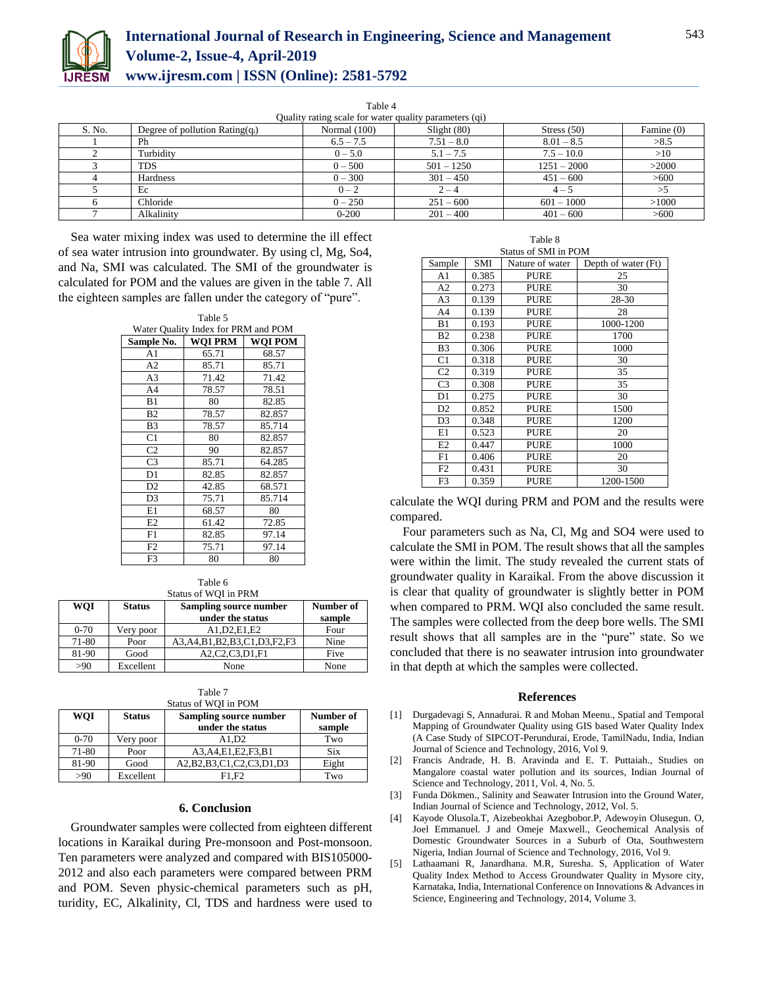

Table 4

| Quality rating scale for water quality parameters (qi) |                                    |                |              |               |            |  |
|--------------------------------------------------------|------------------------------------|----------------|--------------|---------------|------------|--|
| S. No.                                                 | Degree of pollution Rating $(q_i)$ | Normal $(100)$ | Slight(80)   | Stress $(50)$ | Famine (0) |  |
|                                                        | Ph                                 | $6.5 - 7.5$    | $7.51 - 8.0$ | $8.01 - 8.5$  | >8.5       |  |
|                                                        | Turbidity                          | $0 - 5.0$      | $5.1 - 7.5$  | $7.5 - 10.0$  | >10        |  |
|                                                        | <b>TDS</b>                         | $0 - 500$      | $501 - 1250$ | $1251 - 2000$ | >2000      |  |
|                                                        | Hardness                           | $0 - 300$      | $301 - 450$  | $451 - 600$   | >600       |  |
|                                                        | Ec                                 | $0 - 2$        | $2 - 4$      | $4 - 5$       |            |  |
|                                                        | Chloride                           | $0 - 250$      | $251 - 600$  | $601 - 1000$  | >1000      |  |
|                                                        | Alkalinity                         | $0 - 200$      | $201 - 400$  | $401 - 600$   | >600       |  |

Sea water mixing index was used to determine the ill effect of sea water intrusion into groundwater. By using cl, Mg, So4, and Na, SMI was calculated. The SMI of the groundwater is calculated for POM and the values are given in the table 7. All the eighteen samples are fallen under the category of "pure".

| Table 5        |                                     |         |  |  |  |  |
|----------------|-------------------------------------|---------|--|--|--|--|
|                | Water Quality Index for PRM and POM |         |  |  |  |  |
| Sample No.     | WOI PRM                             | WOI POM |  |  |  |  |
| A1             | 65.71                               | 68.57   |  |  |  |  |
| A2             | 85.71                               | 85.71   |  |  |  |  |
| A <sub>3</sub> | 71.42                               | 71.42   |  |  |  |  |
| A <sub>4</sub> | 78.57                               | 78.51   |  |  |  |  |
| B1             | 80                                  | 82.85   |  |  |  |  |
| B <sub>2</sub> | 78.57                               | 82.857  |  |  |  |  |
| B <sub>3</sub> | 78.57                               | 85.714  |  |  |  |  |
| C <sub>1</sub> | 80                                  | 82.857  |  |  |  |  |
| C <sub>2</sub> | 90                                  | 82.857  |  |  |  |  |
| C <sub>3</sub> | 85.71                               | 64.285  |  |  |  |  |
| D <sub>1</sub> | 82.85                               | 82.857  |  |  |  |  |
| D <sub>2</sub> | 42.85                               | 68.571  |  |  |  |  |
| D <sub>3</sub> | 75.71                               | 85.714  |  |  |  |  |
| E1             | 68.57                               | 80      |  |  |  |  |
| E2             | 61.42                               | 72.85   |  |  |  |  |
| F1             | 82.85                               | 97.14   |  |  |  |  |
| F2             | 75.71                               | 97.14   |  |  |  |  |
| F3             | 80                                  | 80      |  |  |  |  |

Table 6 Status of WQI in PRM

| <b>WOI</b> | <b>Status</b> | Sampling source number<br>under the status | Number of<br>sample |
|------------|---------------|--------------------------------------------|---------------------|
| $0 - 70$   | Very poor     | A1.D2.E1.E2                                | Four                |
| 71-80      | Poor          | A3, A4, B1, B2, B3, C1, D3, F2, F3         | Nine                |
| 81-90      | Good          | A2,C2,C3,D1,F1                             | Five                |
| >90        | Excellent     | None                                       | None                |

| Table 7              |  |
|----------------------|--|
| Status of WOI in POM |  |

| <b>WOI</b> | <b>Status</b> | Sampling source number<br>under the status | Number of<br>sample |
|------------|---------------|--------------------------------------------|---------------------|
| $0 - 70$   | Very poor     | A1.D2                                      | Two                 |
| 71-80      | Poor          | A3, A4, E1, E2, F3, B1                     | <b>Six</b>          |
| 81-90      | Good          | A2, B2, B3, C1, C2, C3, D1, D3             | Eight               |
| >90        | Excellent     | F1.F2                                      | Two                 |

### **6. Conclusion**

Groundwater samples were collected from eighteen different locations in Karaikal during Pre-monsoon and Post-monsoon. Ten parameters were analyzed and compared with BIS105000- 2012 and also each parameters were compared between PRM and POM. Seven physic-chemical parameters such as pH, turidity, EC, Alkalinity, Cl, TDS and hardness were used to

| Table 8        |                      |                 |                     |  |  |  |  |  |
|----------------|----------------------|-----------------|---------------------|--|--|--|--|--|
|                | Status of SMI in POM |                 |                     |  |  |  |  |  |
| Sample         | SMI                  | Nature of water | Depth of water (Ft) |  |  |  |  |  |
| A1             | 0.385                | <b>PURE</b>     | 25                  |  |  |  |  |  |
| A2             | 0.273                | <b>PURE</b>     | 30                  |  |  |  |  |  |
| A <sub>3</sub> | 0.139                | <b>PURE</b>     | 28-30               |  |  |  |  |  |
| A4             | 0.139                | PURE            | 28                  |  |  |  |  |  |
| B1             | 0.193                | <b>PURE</b>     | 1000-1200           |  |  |  |  |  |
| B <sub>2</sub> | 0.238                | <b>PURE</b>     | 1700                |  |  |  |  |  |
| B <sub>3</sub> | 0.306                | <b>PURE</b>     | 1000                |  |  |  |  |  |
| C <sub>1</sub> | 0.318                | <b>PURE</b>     | 30                  |  |  |  |  |  |
| C <sub>2</sub> | 0.319                | <b>PURE</b>     | 35                  |  |  |  |  |  |
| C <sub>3</sub> | 0.308                | <b>PURE</b>     | 35                  |  |  |  |  |  |
| D <sub>1</sub> | 0.275                | <b>PURE</b>     | 30                  |  |  |  |  |  |
| D2             | 0.852                | <b>PURE</b>     | 1500                |  |  |  |  |  |
| D <sub>3</sub> | 0.348                | <b>PURE</b>     | 1200                |  |  |  |  |  |
| E1             | 0.523                | <b>PURE</b>     | 20                  |  |  |  |  |  |
| E2             | 0.447                | <b>PURE</b>     | 1000                |  |  |  |  |  |
| F1             | 0.406                | <b>PURE</b>     | 20                  |  |  |  |  |  |
| F <sub>2</sub> | 0.431                | <b>PURE</b>     | 30                  |  |  |  |  |  |
| F <sub>3</sub> | 0.359                | PURE            | 1200-1500           |  |  |  |  |  |

calculate the WQI during PRM and POM and the results were compared.

Four parameters such as Na, Cl, Mg and SO4 were used to calculate the SMI in POM. The result shows that all the samples were within the limit. The study revealed the current stats of groundwater quality in Karaikal. From the above discussion it is clear that quality of groundwater is slightly better in POM when compared to PRM. WQI also concluded the same result. The samples were collected from the deep bore wells. The SMI result shows that all samples are in the "pure" state. So we concluded that there is no seawater intrusion into groundwater in that depth at which the samples were collected.

### **References**

- [1] Durgadevagi S, Annadurai. R and Mohan Meenu., Spatial and Temporal Mapping of Groundwater Quality using GIS based Water Quality Index (A Case Study of SIPCOT-Perundurai, Erode, TamilNadu, India, Indian Journal of Science and Technology, 2016, Vol 9.
- [2] Francis Andrade, H. B. Aravinda and E. T. Puttaiah., Studies on Mangalore coastal water pollution and its sources, Indian Journal of Science and Technology, 2011, Vol. 4, No. 5.
- [3] Funda Dökmen., Salinity and Seawater Intrusion into the Ground Water, Indian Journal of Science and Technology, 2012, Vol. 5.
- [4] Kayode Olusola.T, Aizebeokhai Azegbobor.P, Adewoyin Olusegun. O, Joel Emmanuel. J and Omeje Maxwell., Geochemical Analysis of Domestic Groundwater Sources in a Suburb of Ota, Southwestern Nigeria, Indian Journal of Science and Technology, 2016, Vol 9.
- [5] Lathaamani R, Janardhana. M.R, Suresha. S, Application of Water Quality Index Method to Access Groundwater Quality in Mysore city, Karnataka, India, International Conference on Innovations & Advances in Science, Engineering and Technology, 2014, Volume 3.